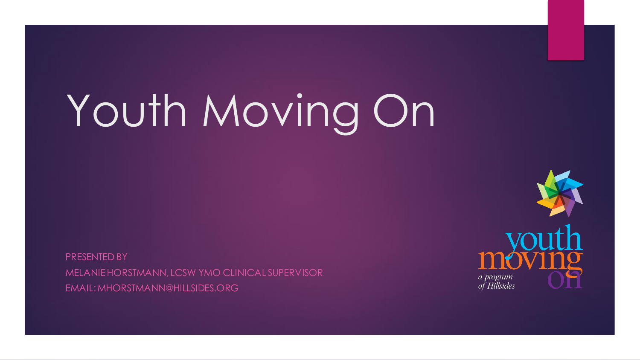# Youth Moving On

PRESENTED BY MELANIE HORSTMANN, LCSW YMO CLINICAL SUPERVISOR EMAIL: MHORSTMANN@HILLSIDES.ORG

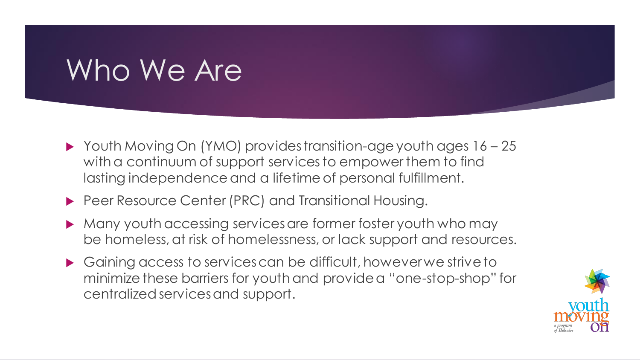# Who We Are

- Youth Moving On (YMO) provides transition-age youth ages 16 25 with a continuum of support services to empower them to find lasting independence and a lifetime of personal fulfillment.
- **Peer Resource Center (PRC) and Transitional Housing.**
- Many youth accessing services are former foster youth who may be homeless, at risk of homelessness, or lack support and resources.
- Gaining access to services can be difficult, however we strive to minimize these barriers for youth and provide a "one-stop-shop" for centralized services and support.

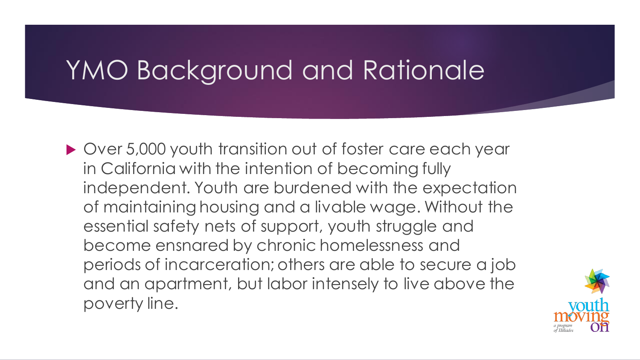### YMO Background and Rationale

▶ Over 5,000 youth transition out of foster care each year in California with the intention of becoming fully independent. Youth are burdened with the expectation of maintaining housing and a livable wage. Without the essential safety nets of support, youth struggle and become ensnared by chronic homelessness and periods of incarceration; others are able to secure a job and an apartment, but labor intensely to live above the poverty line.

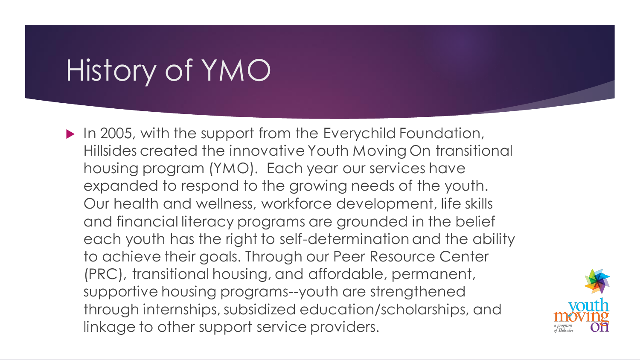# History of YMO

In 2005, with the support from the Everychild Foundation, Hillsides created the innovative Youth Moving On transitional housing program (YMO). Each year our services have expanded to respond to the growing needs of the youth. Our health and wellness, workforce development, life skills and financial literacy programs are grounded in the belief each youth has the right to self-determination and the ability to achieve their goals. Through our Peer Resource Center (PRC), transitional housing, and affordable, permanent, supportive housing programs--youth are strengthened through internships, subsidized education/scholarships, and linkage to other support service providers.

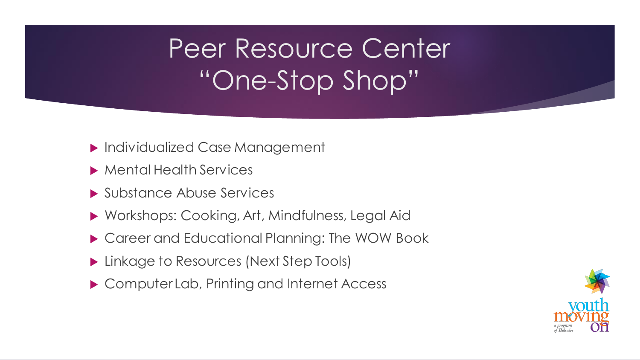# Peer Resource Center "One-Stop Shop"

- **Individualized Case Management**
- ▶ Mental Health Services
- ▶ Substance Abuse Services
- Workshops: Cooking, Art, Mindfulness, Legal Aid
- ▶ Career and Educational Planning: The WOW Book
- **Linkage to Resources (Next Step Tools)**
- ▶ Computer Lab, Printing and Internet Access

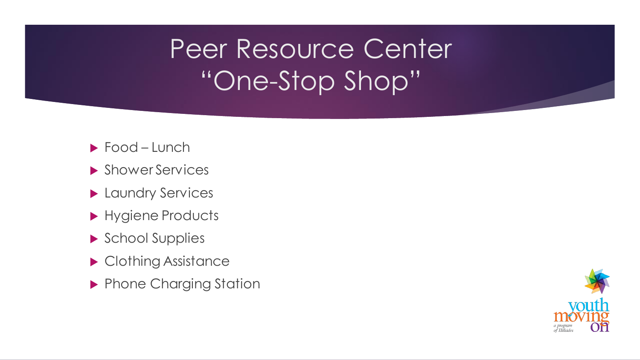# Peer Resource Center "One-Stop Shop"

- ▶ Food Lunch
- **Shower Services**
- **Laundry Services**
- Hygiene Products
- School Supplies
- ▶ Clothing Assistance
- **Phone Charging Station**

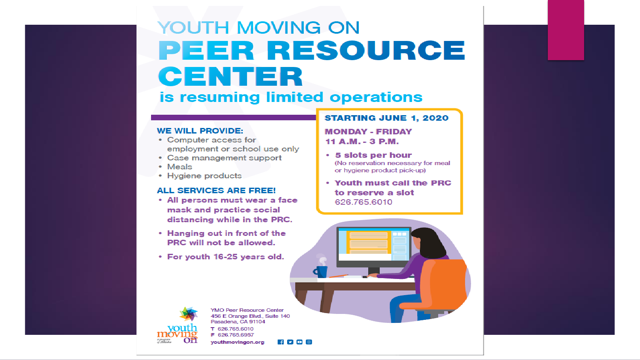### YOUTH MOVING ON **PEER RESOURCE CENTER** is resuming limited operations

#### **WE WILL PROVIDE:**

- Computer access for employment or school use only
- Case management support
- Meals
- Hygiene products

#### **ALL SERVICES ARE FREE!**

- All persons must wear a face mask and practice social distancing while in the PRC.
- . Hanging out in front of the PRC will not be allowed.
- For youth 16-25 years old.

#### **STARTING JUNE 1, 2020**

**MONDAY - FRIDAY** 11 A.M. - 3 P.M.

- 5 slots per hour (No reservation necessary for meal or hygiene product pick-up)
- Youth must call the PRC to reserve a slot 626.765.6010





**YMO Peer Resource Center** 456 E Orange Blvd., Suite 140 Pasadena, CA 91104 T 626.765.6010

F 626.765.6957 youthmovingon.org

 $\bullet$   $\bullet$   $\circ$   $\circ$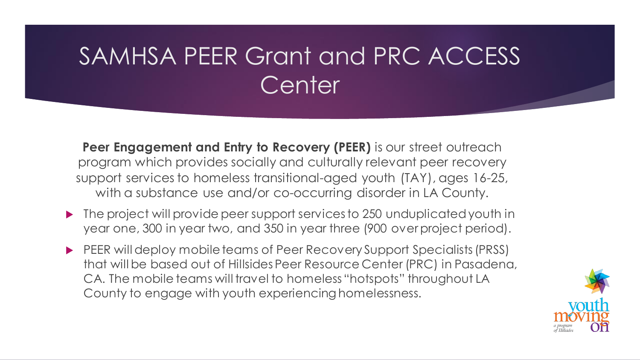### SAMHSA PEER Grant and PRC ACCESS **Center**

**Peer Engagement and Entry to Recovery (PEER)** is our street outreach program which provides socially and culturally relevant peer recovery support services to homeless transitional-aged youth (TAY), ages 16-25, with a substance use and/or co-occurring disorder in LA County.

- ▶ The project will provide peer support services to 250 unduplicated youth in year one, 300 in year two, and 350 in year three (900 over project period).
- PEER will deploy mobile teams of Peer Recovery Support Specialists (PRSS) that will be based out of Hillsides Peer Resource Center (PRC) in Pasadena, CA. The mobile teams will travel to homeless "hotspots" throughout LA County to engage with youth experiencing homelessness.

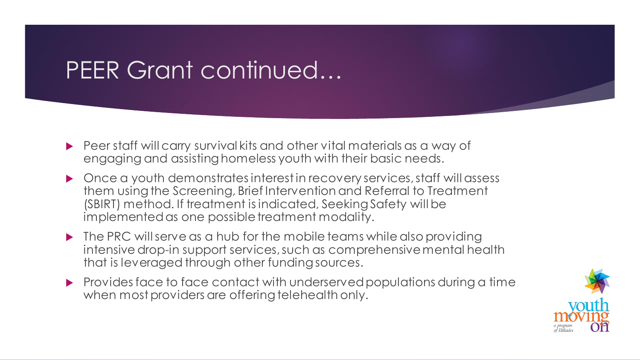### PEER Grant continued…

- Peer staff will carry survival kits and other vital materials as a way of engaging and assisting homeless youth with their basic needs.
- ▶ Once a youth demonstrates interest in recovery services, staff will assess them using the Screening, Brief Intervention and Referral to Treatment (SBIRT) method. If treatment is indicated, Seeking Safety will be implemented as one possible treatment modality.
- ▶ The PRC will serve as a hub for the mobile teams while also providing intensive drop-in support services, such as comprehensive mental health that is leveraged through other funding sources.
- Provides face to face contact with underserved populations during a time when most providers are offering telehealth only.

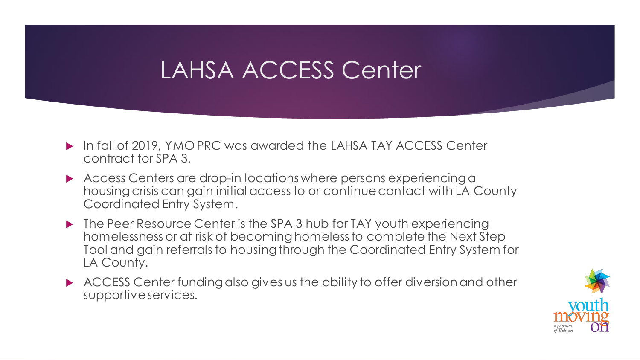### LAHSA ACCESS Center

- ▶ In fall of 2019, YMO PRC was awarded the LAHSA TAY ACCESS Center contract for SPA 3.
- Access Centers are drop-in locations where persons experiencing a housing crisis can gain initial access to or continue contact with LA County Coordinated Entry System.
- ▶ The Peer Resource Center is the SPA 3 hub for TAY youth experiencing homelessness or at risk of becoming homeless to complete the Next Step Tool and gain referrals to housing through the Coordinated Entry System for LA County.
- ACCESS Center funding also gives us the ability to offer diversion and other supportive services.

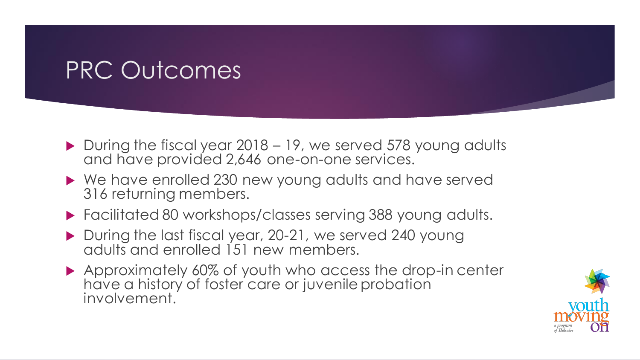### PRC Outcomes

- $\triangleright$  During the fiscal year 2018 19, we served 578 young adults and have provided 2,646 one-on-one services.
- ▶ We have enrolled 230 new young adults and have served 316 returning members.
- Facilitated 80 workshops/classes serving 388 young adults.
- During the last fiscal year, 20-21, we served 240 young adults and enrolled 151 new members.
- ▶ Approximately 60% of youth who access the drop-in center have a history of foster care or juvenile probation involvement.

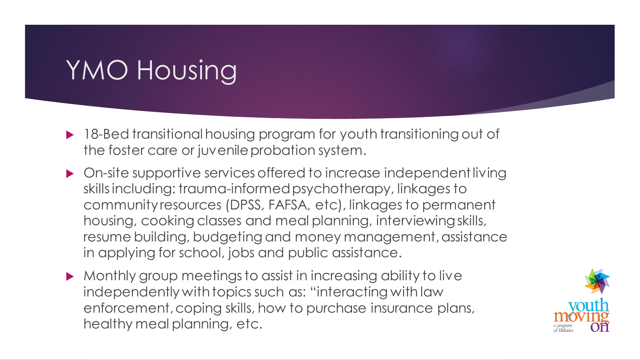# YMO Housing

- ▶ 18-Bed transitional housing program for youth transitioning out of the foster care or juvenile probation system.
- On-site supportive services offered to increase independent living skills including: trauma-informed psychotherapy, linkages to community resources (DPSS, FAFSA, etc), linkages to permanent housing, cooking classes and meal planning, interviewing skills, resume building, budgeting and money management, assistance in applying for school, jobs and public assistance.
- Monthly group meetings to assist in increasing ability to live independently with topics such as: "interacting with law enforcement, coping skills, how to purchase insurance plans, healthy meal planning, etc.

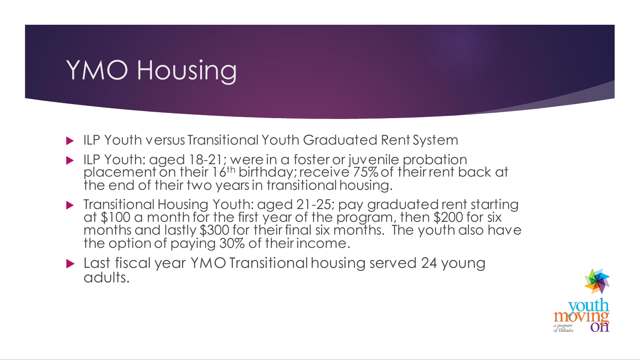# YMO Housing

- ILP Youth versus Transitional Youth Graduated Rent System
- IF Youth: aged 18-21; were in a foster or juvenile probation placement on their 16<sup>th</sup> birthday; receive 75% of their rent back at the end of their two years in transitional housing.
- Transitional Housing Youth: aged 21-25; pay graduated rent starting at \$100 a month for the first year of the program, then \$200 for six months and lastly \$300 for their final six months. The youth also have the option of paying 30% of their income.
- **Last fiscal year YMO Transitional housing served 24 young** adults.